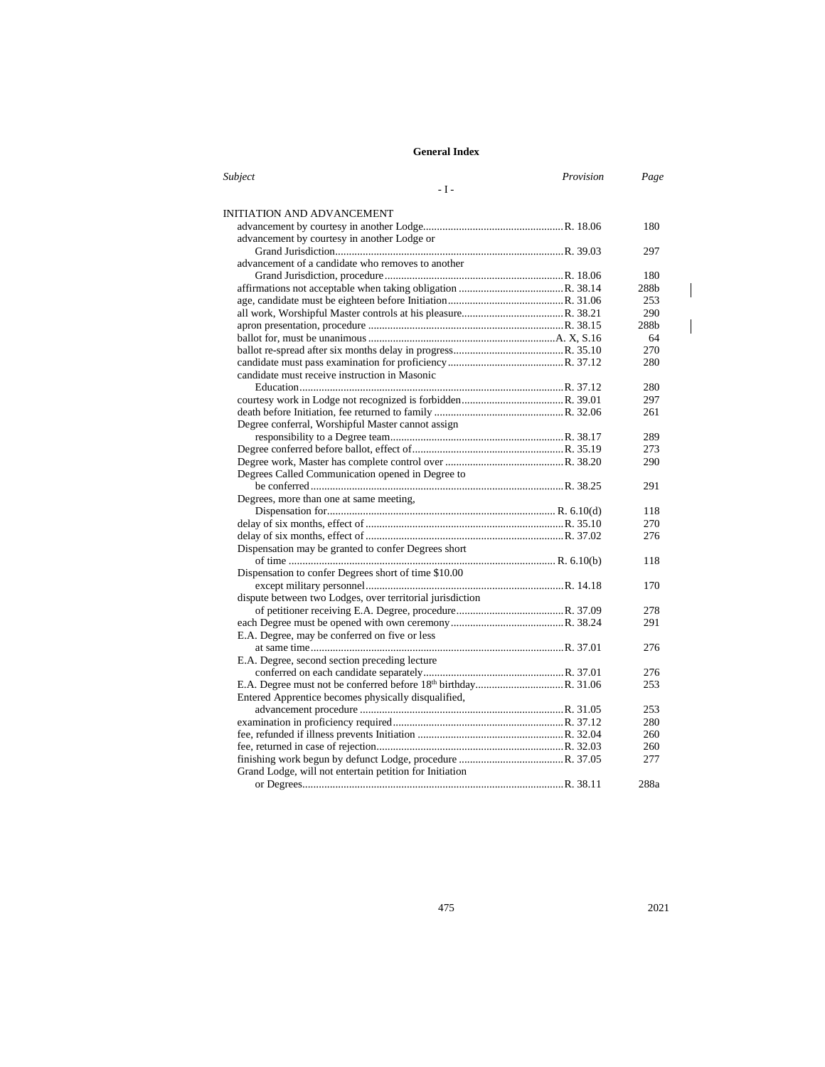| Subject                                                   | Provision | Page |
|-----------------------------------------------------------|-----------|------|
| $-I -$                                                    |           |      |
|                                                           |           |      |
| INITIATION AND ADVANCEMENT                                |           |      |
|                                                           |           | 180  |
| advancement by courtesy in another Lodge or               |           |      |
|                                                           |           | 297  |
| advancement of a candidate who removes to another         |           |      |
|                                                           |           | 180  |
|                                                           |           | 288b |
|                                                           |           | 253  |
|                                                           |           | 290  |
|                                                           |           | 288b |
|                                                           |           | 64   |
|                                                           |           | 270  |
|                                                           |           | 280  |
| candidate must receive instruction in Masonic             |           |      |
|                                                           |           | 280  |
|                                                           |           | 297  |
|                                                           |           | 261  |
| Degree conferral, Worshipful Master cannot assign         |           |      |
|                                                           |           | 289  |
|                                                           |           | 273  |
|                                                           |           | 290  |
| Degrees Called Communication opened in Degree to          |           |      |
|                                                           |           | 291  |
| Degrees, more than one at same meeting,                   |           |      |
|                                                           |           | 118  |
|                                                           |           | 270  |
|                                                           |           | 276  |
| Dispensation may be granted to confer Degrees short       |           |      |
|                                                           |           | 118  |
| Dispensation to confer Degrees short of time \$10.00      |           |      |
|                                                           |           | 170  |
| dispute between two Lodges, over territorial jurisdiction |           |      |
|                                                           |           | 278  |
|                                                           |           | 291  |
| E.A. Degree, may be conferred on five or less             |           |      |
|                                                           |           | 276  |
| E.A. Degree, second section preceding lecture             |           |      |
|                                                           |           | 276  |
|                                                           |           | 253  |
| Entered Apprentice becomes physically disqualified,       |           |      |
|                                                           |           | 253  |
|                                                           |           | 280  |
|                                                           |           | 260  |
|                                                           |           | 260  |
|                                                           |           | 277  |
| Grand Lodge, will not entertain petition for Initiation   |           |      |
|                                                           |           | 288a |

 $\overline{\phantom{a}}$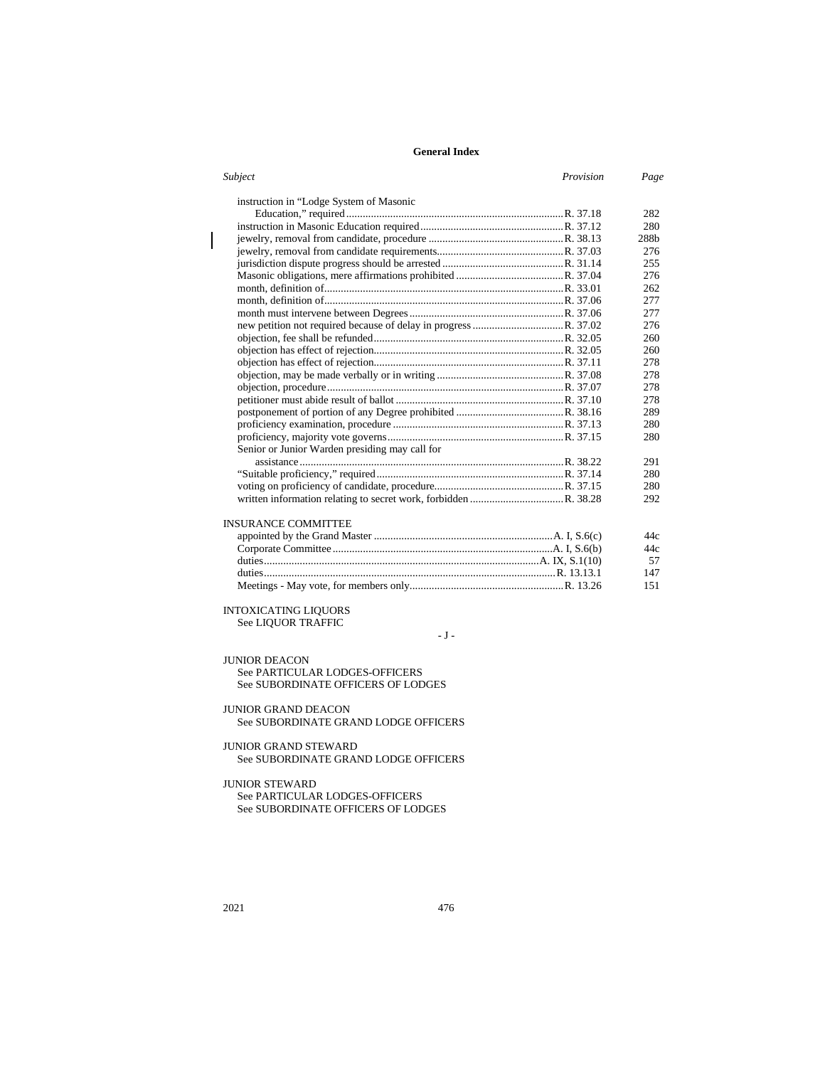| Subject<br>Provision                           | Page             |
|------------------------------------------------|------------------|
| instruction in "Lodge System of Masonic        |                  |
|                                                | 282              |
|                                                | 280              |
|                                                | 288 <sub>b</sub> |
|                                                | 276              |
|                                                | 255              |
|                                                | 276              |
|                                                | 262              |
|                                                | 277              |
|                                                | 277              |
|                                                | 276              |
|                                                | 260              |
|                                                | 260              |
|                                                | 278              |
|                                                | 278              |
|                                                | 278              |
|                                                | 278              |
|                                                | 289              |
|                                                | 280              |
|                                                | 280              |
| Senior or Junior Warden presiding may call for |                  |
|                                                | 291              |
|                                                | 280              |
|                                                | 280              |
|                                                | 292              |
| <b>INSURANCE COMMITTEE</b>                     |                  |
|                                                | 44c              |
|                                                | 44c              |
|                                                | 57               |

| 147 |
|-----|
| 151 |

#### INTOXICATING LIQUORS See LIQUOR TRAFFIC

 $\sim$  J  $\sim$ 

JUNIOR DEACON

See PARTICULAR LODGES-OFFICERS See SUBORDINATE OFFICERS OF LODGES

#### JUNIOR GRAND DEACON See SUBORDINATE GRAND LODGE OFFICERS

### JUNIOR GRAND STEWARD See SUBORDINATE GRAND LODGE OFFICERS

# JUNIOR STEWARD

See PARTICULAR LODGES-OFFICERS See SUBORDINATE OFFICERS OF LODGES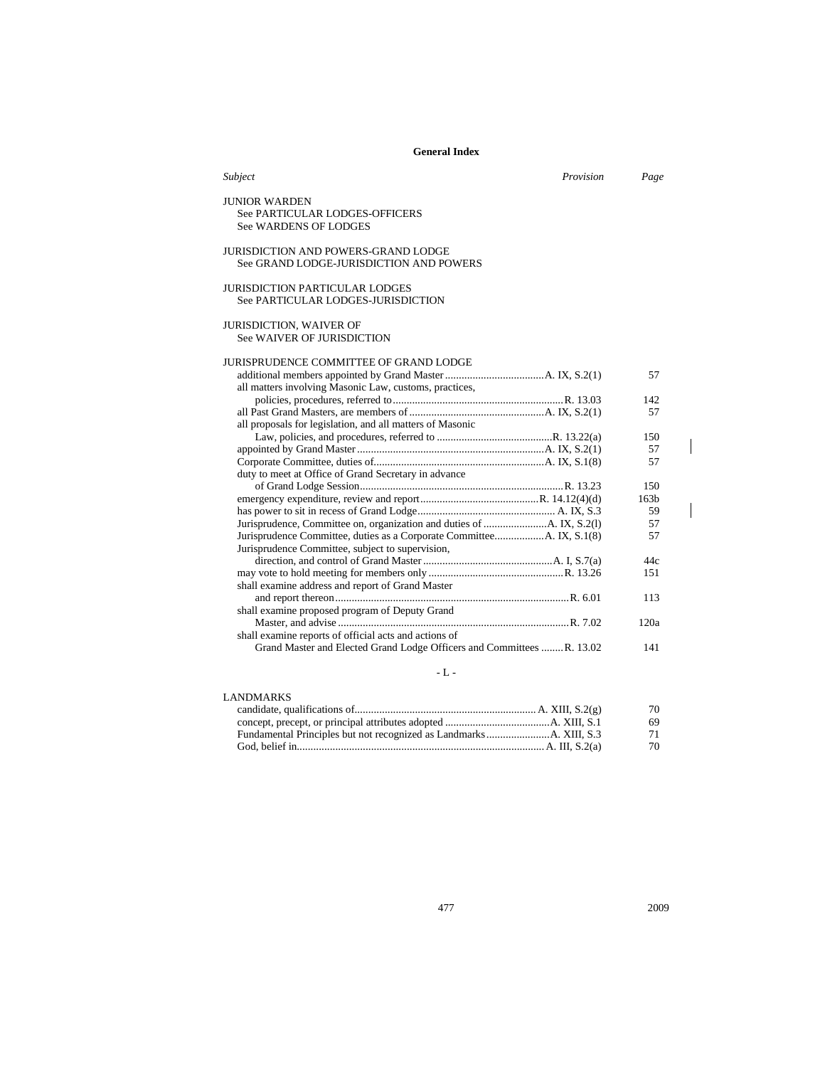| Subject                                                                                | Provision | Page             |
|----------------------------------------------------------------------------------------|-----------|------------------|
| <b>JUNIOR WARDEN</b><br>See PARTICULAR LODGES-OFFICERS<br><b>See WARDENS OF LODGES</b> |           |                  |
| JURISDICTION AND POWERS-GRAND LODGE<br>See GRAND LODGE-JURISDICTION AND POWERS         |           |                  |
| <b>JURISDICTION PARTICULAR LODGES</b><br>See PARTICULAR LODGES-JURISDICTION            |           |                  |
| <b>JURISDICTION, WAIVER OF</b><br>See WAIVER OF JURISDICTION                           |           |                  |
| JURISPRUDENCE COMMITTEE OF GRAND LODGE                                                 |           |                  |
| all matters involving Masonic Law, customs, practices,                                 |           | 57               |
|                                                                                        |           | 142              |
|                                                                                        |           | 57               |
| all proposals for legislation, and all matters of Masonic                              |           |                  |
|                                                                                        |           | 150              |
|                                                                                        |           | 57               |
|                                                                                        |           | 57               |
| duty to meet at Office of Grand Secretary in advance                                   |           |                  |
|                                                                                        |           | 150              |
|                                                                                        |           | 163 <sub>b</sub> |
|                                                                                        |           | 59               |
|                                                                                        |           | 57<br>57         |
| Jurisprudence Committee, subject to supervision,                                       |           |                  |
|                                                                                        |           | 44c              |
|                                                                                        |           | 151              |
| shall examine address and report of Grand Master                                       |           |                  |
|                                                                                        |           | 113              |
| shall examine proposed program of Deputy Grand                                         |           |                  |
|                                                                                        |           | 120a             |
| shall examine reports of official acts and actions of                                  |           |                  |
| Grand Master and Elected Grand Lodge Officers and Committees  R. 13.02                 |           | 141              |
|                                                                                        |           |                  |

- L -  $\,$ 

| LANDMARKS |    |
|-----------|----|
|           | 70 |
|           | 69 |
|           | 71 |
|           | 70 |

 $\begin{array}{c} \hline \end{array}$ 

 $\begin{array}{c} \hline \end{array}$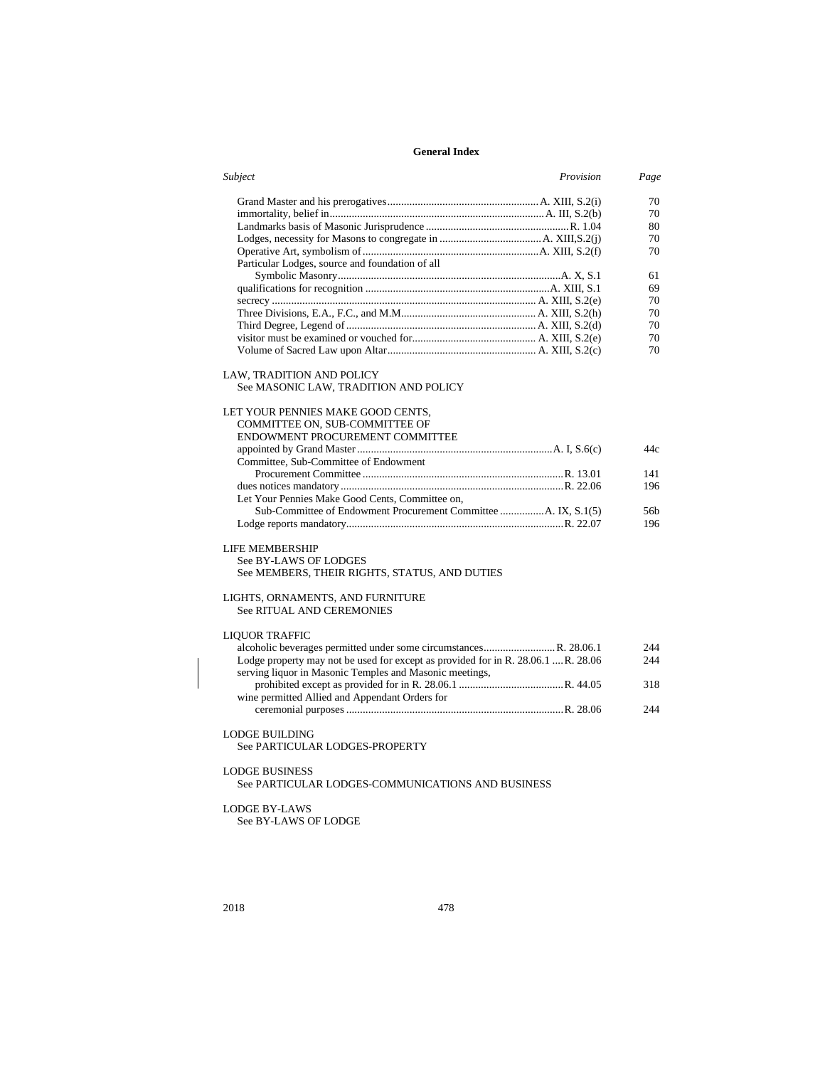| Subject                                                                           | Provision | Page |
|-----------------------------------------------------------------------------------|-----------|------|
|                                                                                   |           | 70   |
|                                                                                   |           | 70   |
|                                                                                   |           | 80   |
|                                                                                   |           | 70   |
|                                                                                   |           | 70   |
| Particular Lodges, source and foundation of all                                   |           |      |
|                                                                                   |           | 61   |
|                                                                                   |           | 69   |
|                                                                                   |           | 70   |
|                                                                                   |           | 70   |
|                                                                                   |           | 70   |
|                                                                                   |           | 70   |
|                                                                                   |           | 70   |
| LAW, TRADITION AND POLICY<br>See MASONIC LAW, TRADITION AND POLICY                |           |      |
| LET YOUR PENNIES MAKE GOOD CENTS,                                                 |           |      |
| COMMITTEE ON, SUB-COMMITTEE OF                                                    |           |      |
| ENDOWMENT PROCUREMENT COMMITTEE                                                   |           |      |
|                                                                                   |           | 44c  |
| Committee, Sub-Committee of Endowment                                             |           |      |
|                                                                                   |           | 141  |
|                                                                                   |           | 196  |
| Let Your Pennies Make Good Cents, Committee on,                                   |           |      |
| Sub-Committee of Endowment Procurement Committee A. IX, S.1(5)                    |           | 56b  |
|                                                                                   |           | 196  |
| <b>LIFE MEMBERSHIP</b>                                                            |           |      |
| See BY-LAWS OF LODGES                                                             |           |      |
| See MEMBERS, THEIR RIGHTS, STATUS, AND DUTIES                                     |           |      |
| LIGHTS, ORNAMENTS, AND FURNITURE<br><b>See RITUAL AND CEREMONIES</b>              |           |      |
| <b>LIQUOR TRAFFIC</b>                                                             |           |      |
| alcoholic beverages permitted under some circumstancesR. 28.06.1                  |           | 244  |
| Lodge property may not be used for except as provided for in R. 28.06.1  R. 28.06 |           | 244  |
| serving liquor in Masonic Temples and Masonic meetings,                           |           |      |
|                                                                                   |           | 318  |
| wine permitted Allied and Appendant Orders for                                    |           |      |
|                                                                                   |           | 244  |
|                                                                                   |           |      |
| <b>LODGE BUILDING</b><br>See PARTICULAR LODGES-PROPERTY                           |           |      |
| <b>LODGE BUSINESS</b>                                                             |           |      |
| See PARTICULAR LODGES-COMMUNICATIONS AND BUSINESS                                 |           |      |
|                                                                                   |           |      |
| <b>LODGE BY-LAWS</b>                                                              |           |      |
| See BY-LAWS OF LODGE                                                              |           |      |
|                                                                                   |           |      |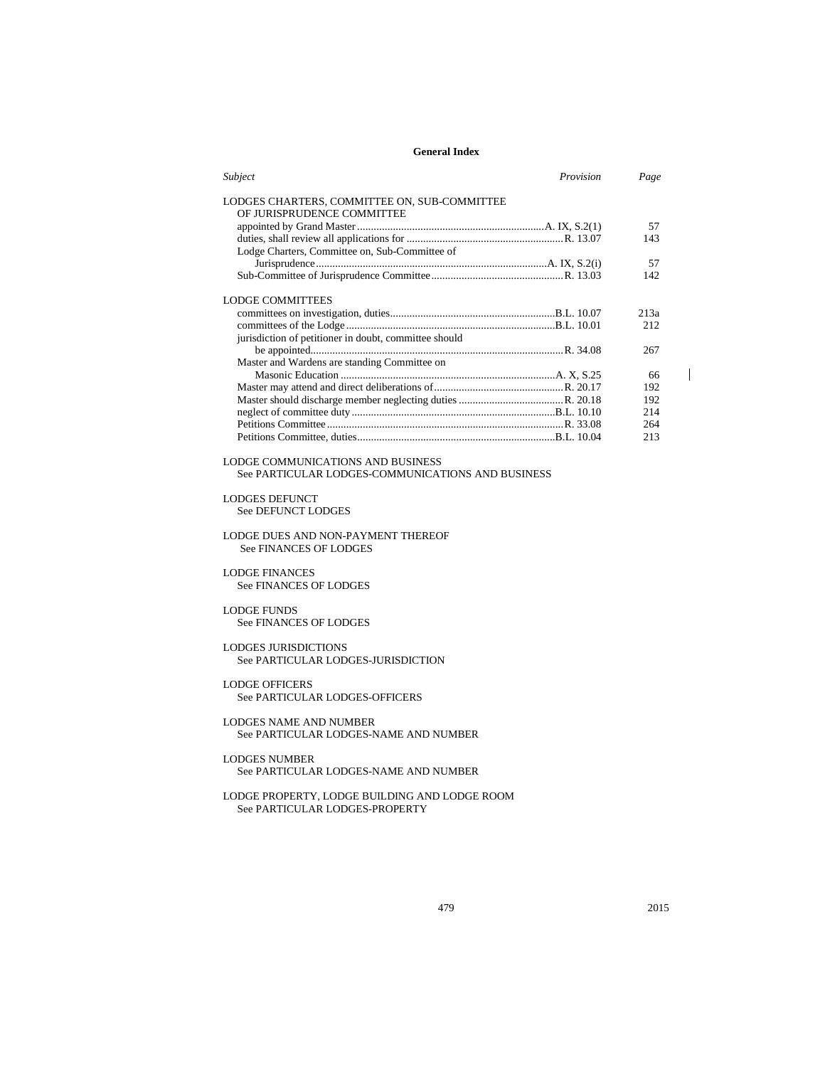| Subject                                                                    | <i>Provision</i> | Page |
|----------------------------------------------------------------------------|------------------|------|
| LODGES CHARTERS, COMMITTEE ON, SUB-COMMITTEE<br>OF JURISPRUDENCE COMMITTEE |                  |      |
|                                                                            |                  | 57   |
|                                                                            |                  | 143  |
| Lodge Charters, Committee on, Sub-Committee of                             |                  |      |
|                                                                            |                  | 57   |
|                                                                            |                  | 142  |
| LODGE COMMITTEES                                                           |                  |      |
|                                                                            |                  | 213a |
|                                                                            |                  | 212  |
| jurisdiction of petitioner in doubt, committee should                      |                  |      |
|                                                                            |                  | 267  |
| Master and Wardens are standing Committee on                               |                  |      |
|                                                                            |                  | 66   |
|                                                                            |                  | 192  |
|                                                                            |                  | 192  |
|                                                                            |                  | 214  |
|                                                                            |                  | 264  |
|                                                                            |                  | 213  |
|                                                                            |                  |      |

LODGE COMMUNICATIONS AND BUSINESS See PARTICULAR LODGES-COMMUNICATIONS AND BUSINESS

LODGES DEFUNCT

See DEFUNCT LODGES

LODGE DUES AND NON-PAYMENT THEREOF See FINANCES OF LODGES

LODGE FINANCES See FINANCES OF LODGES

LODGE FUNDS See FINANCES OF LODGES

#### LODGES JURISDICTIONS See PARTICULAR LODGES-JURISDICTION

LODGE OFFICERS See PARTICULAR LODGES-OFFICERS

LODGES NAME AND NUMBER See PARTICULAR LODGES-NAME AND NUMBER

#### LODGES NUMBER See PARTICULAR LODGES-NAME AND NUMBER

LODGE PROPERTY, LODGE BUILDING AND LODGE ROOM See PARTICULAR LODGES-PROPERTY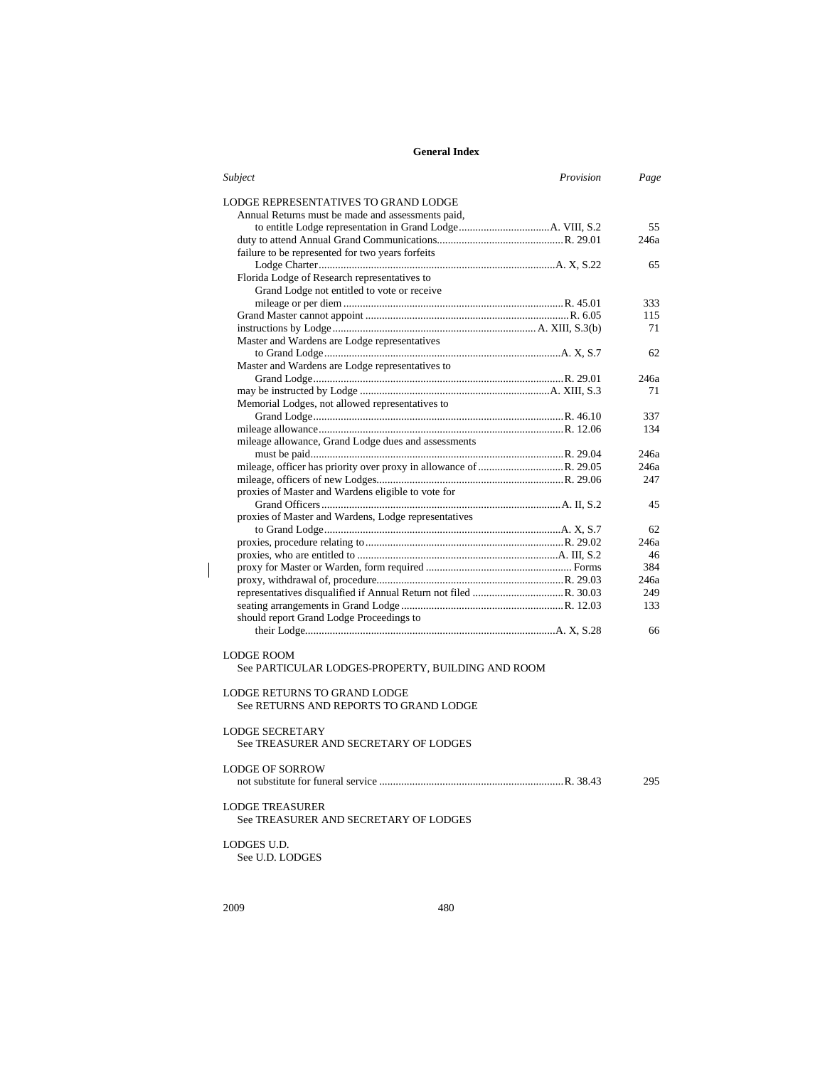| Subject<br>Provision                                                                                          | Page |
|---------------------------------------------------------------------------------------------------------------|------|
| LODGE REPRESENTATIVES TO GRAND LODGE                                                                          |      |
| Annual Returns must be made and assessments paid,                                                             |      |
|                                                                                                               | 55   |
|                                                                                                               | 246a |
| failure to be represented for two years forfeits                                                              |      |
|                                                                                                               | 65   |
| Florida Lodge of Research representatives to                                                                  |      |
| Grand Lodge not entitled to vote or receive                                                                   |      |
|                                                                                                               | 333  |
|                                                                                                               | 115  |
|                                                                                                               | 71   |
| Master and Wardens are Lodge representatives                                                                  |      |
|                                                                                                               | 62   |
| Master and Wardens are Lodge representatives to                                                               |      |
|                                                                                                               | 246a |
|                                                                                                               | 71   |
| Memorial Lodges, not allowed representatives to                                                               |      |
|                                                                                                               | 337  |
|                                                                                                               | 134  |
| mileage allowance, Grand Lodge dues and assessments                                                           |      |
|                                                                                                               | 246a |
|                                                                                                               | 246a |
|                                                                                                               | 247  |
| proxies of Master and Wardens eligible to vote for                                                            |      |
|                                                                                                               | 45   |
| proxies of Master and Wardens, Lodge representatives                                                          |      |
|                                                                                                               | 62   |
|                                                                                                               | 246a |
|                                                                                                               | 46   |
|                                                                                                               | 384  |
|                                                                                                               | 246a |
|                                                                                                               | 249  |
|                                                                                                               | 133  |
| should report Grand Lodge Proceedings to                                                                      |      |
|                                                                                                               | 66   |
|                                                                                                               |      |
| <b>LODGE ROOM</b><br>See PARTICULAR LODGES-PROPERTY, BUILDING AND ROOM<br><b>LODGE RETURNS TO GRAND LODGE</b> |      |
| See RETURNS AND REPORTS TO GRAND LODGE                                                                        |      |
| <b>LODGE SECRETARY</b><br>See TREASURER AND SECRETARY OF LODGES                                               |      |
| <b>LODGE OF SORROW</b>                                                                                        | 295  |
| <b>LODGE TREASURER</b><br>See TREASURER AND SECRETARY OF LODGES                                               |      |
| LODGES U.D.<br>See U.D. LODGES                                                                                |      |

 $\begin{array}{c} \rule{0pt}{2ex} \rule{0pt}{2ex} \rule{0pt}{2ex} \rule{0pt}{2ex} \rule{0pt}{2ex} \rule{0pt}{2ex} \rule{0pt}{2ex} \rule{0pt}{2ex} \rule{0pt}{2ex} \rule{0pt}{2ex} \rule{0pt}{2ex} \rule{0pt}{2ex} \rule{0pt}{2ex} \rule{0pt}{2ex} \rule{0pt}{2ex} \rule{0pt}{2ex} \rule{0pt}{2ex} \rule{0pt}{2ex} \rule{0pt}{2ex} \rule{0pt}{2ex} \rule{0pt}{2ex} \rule{0pt}{2ex} \rule{0pt}{2ex} \rule{0pt}{$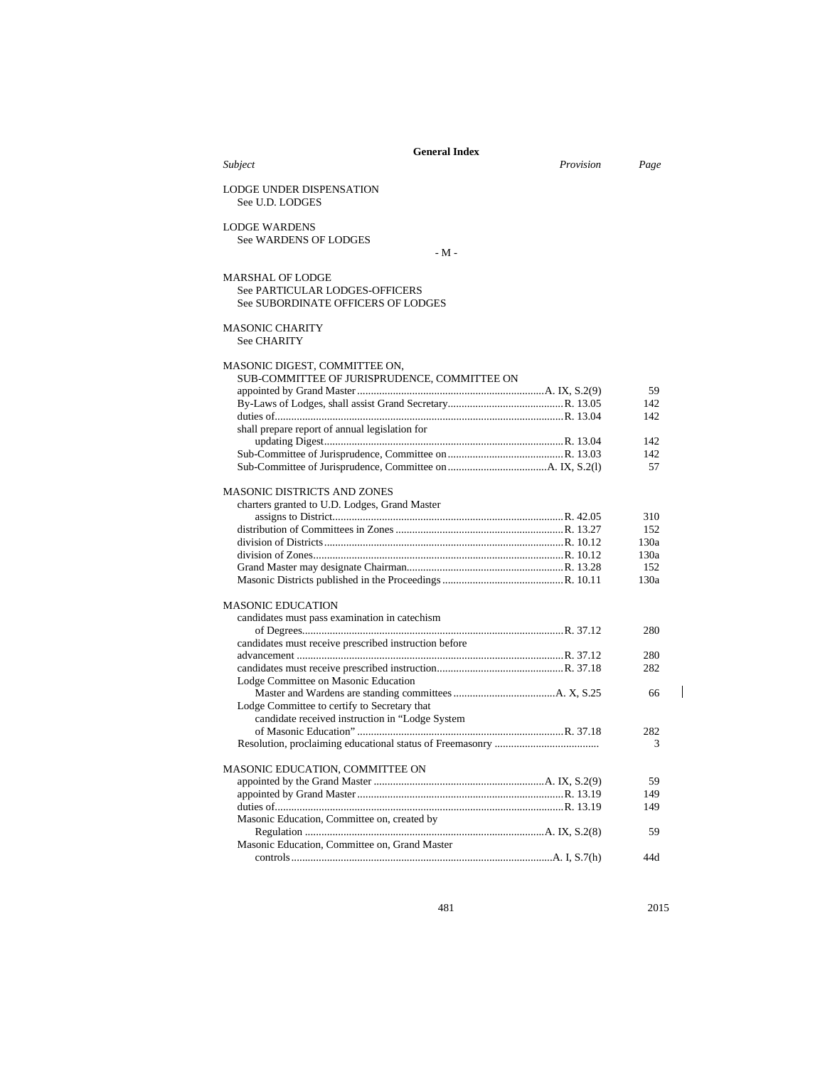|                                                                                                        | <b>General Index</b> |      |
|--------------------------------------------------------------------------------------------------------|----------------------|------|
| Subject                                                                                                | Provision            | Page |
| <b>LODGE UNDER DISPENSATION</b><br>See U.D. LODGES                                                     |                      |      |
| <b>LODGE WARDENS</b>                                                                                   |                      |      |
| <b>See WARDENS OF LODGES</b>                                                                           |                      |      |
|                                                                                                        | - M -                |      |
| <b>MARSHAL OF LODGE</b><br><b>See PARTICULAR LODGES-OFFICERS</b><br>See SUBORDINATE OFFICERS OF LODGES |                      |      |
| <b>MASONIC CHARITY</b><br><b>See CHARITY</b>                                                           |                      |      |
| MASONIC DIGEST, COMMITTEE ON,                                                                          |                      |      |
| SUB-COMMITTEE OF JURISPRUDENCE, COMMITTEE ON                                                           |                      |      |
|                                                                                                        |                      | 59   |
|                                                                                                        |                      | 142  |
|                                                                                                        |                      | 142  |
| shall prepare report of annual legislation for                                                         |                      |      |
|                                                                                                        |                      | 142  |
|                                                                                                        |                      | 142  |
|                                                                                                        |                      | 57   |
| <b>MASONIC DISTRICTS AND ZONES</b>                                                                     |                      |      |
| charters granted to U.D. Lodges, Grand Master                                                          |                      |      |
|                                                                                                        |                      | 310  |
|                                                                                                        |                      | 152  |
|                                                                                                        |                      | 130a |
|                                                                                                        |                      | 130a |
|                                                                                                        |                      | 152  |
|                                                                                                        |                      | 130a |
| <b>MASONIC EDUCATION</b>                                                                               |                      |      |
| candidates must pass examination in catechism                                                          |                      |      |
|                                                                                                        |                      | 280  |
| candidates must receive prescribed instruction before                                                  |                      |      |
|                                                                                                        |                      | 280  |
|                                                                                                        |                      | 282  |
| Lodge Committee on Masonic Education                                                                   |                      |      |
|                                                                                                        |                      | 66   |
| Lodge Committee to certify to Secretary that                                                           |                      |      |
| candidate received instruction in "Lodge System                                                        |                      |      |
|                                                                                                        |                      | 282  |
|                                                                                                        |                      | 3    |
| MASONIC EDUCATION, COMMITTEE ON                                                                        |                      |      |
|                                                                                                        |                      | 59   |
|                                                                                                        |                      | 149  |
|                                                                                                        |                      | 149  |
| Masonic Education, Committee on, created by                                                            |                      |      |
|                                                                                                        |                      | 59   |
| Masonic Education, Committee on, Grand Master                                                          |                      |      |
|                                                                                                        |                      | 44d  |

481 2015

 $\mathbf I$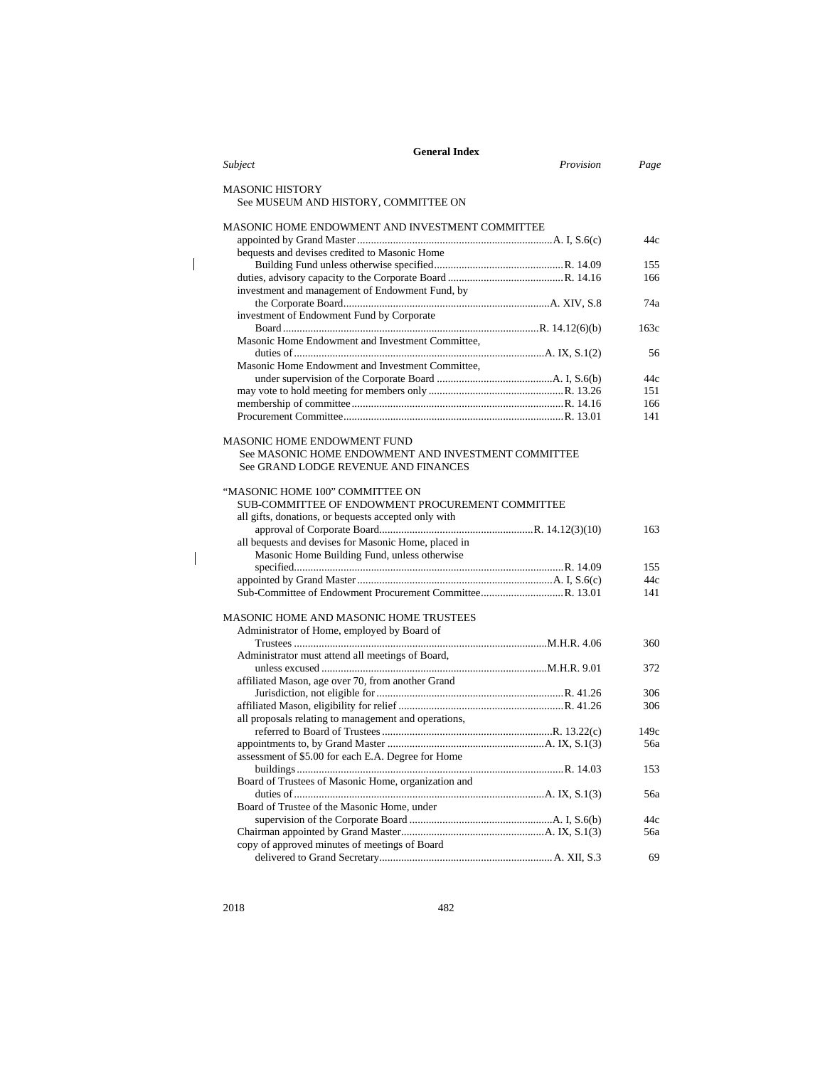| <b>General Index</b>                                                                      |      |
|-------------------------------------------------------------------------------------------|------|
| Provision<br>Subject                                                                      | Page |
| MASONIC HISTORY                                                                           |      |
| See MUSEUM AND HISTORY, COMMITTEE ON                                                      |      |
| MASONIC HOME ENDOWMENT AND INVESTMENT COMMITTEE                                           |      |
|                                                                                           | 44c  |
| bequests and devises credited to Masonic Home                                             |      |
|                                                                                           | 155  |
| investment and management of Endowment Fund, by                                           | 166  |
| investment of Endowment Fund by Corporate                                                 | 74a  |
| Masonic Home Endowment and Investment Committee,                                          | 163c |
|                                                                                           | 56   |
| Masonic Home Endowment and Investment Committee,                                          |      |
|                                                                                           | 44c  |
|                                                                                           | 151  |
|                                                                                           | 166  |
|                                                                                           | 141  |
|                                                                                           |      |
| <b>MASONIC HOME ENDOWMENT FUND</b><br>See MASONIC HOME ENDOWMENT AND INVESTMENT COMMITTEE |      |
|                                                                                           |      |
| See GRAND LODGE REVENUE AND FINANCES                                                      |      |
| "MASONIC HOME 100" COMMITTEE ON                                                           |      |
| SUB-COMMITTEE OF ENDOWMENT PROCUREMENT COMMITTEE                                          |      |
| all gifts, donations, or bequests accepted only with                                      |      |
|                                                                                           | 163  |
| all bequests and devises for Masonic Home, placed in                                      |      |
| Masonic Home Building Fund, unless otherwise                                              |      |
|                                                                                           | 155  |
|                                                                                           | 44c  |
|                                                                                           | 141  |
|                                                                                           |      |
| MASONIC HOME AND MASONIC HOME TRUSTEES                                                    |      |
| Administrator of Home, employed by Board of                                               |      |
|                                                                                           | 360  |
| Administrator must attend all meetings of Board,                                          |      |
|                                                                                           | 372  |
| affiliated Mason, age over 70, from another Grand                                         |      |
|                                                                                           | 306  |
|                                                                                           | 306  |
| all proposals relating to management and operations,                                      |      |
|                                                                                           | 149c |
|                                                                                           | 56a  |
| assessment of \$5.00 for each E.A. Degree for Home                                        |      |
|                                                                                           | 153  |
| Board of Trustees of Masonic Home, organization and                                       |      |
|                                                                                           | 56a  |
| Board of Trustee of the Masonic Home, under                                               |      |
|                                                                                           | 44c  |
|                                                                                           | 56a  |
| copy of approved minutes of meetings of Board                                             |      |
|                                                                                           | 69   |

 $\bar{\rm I}$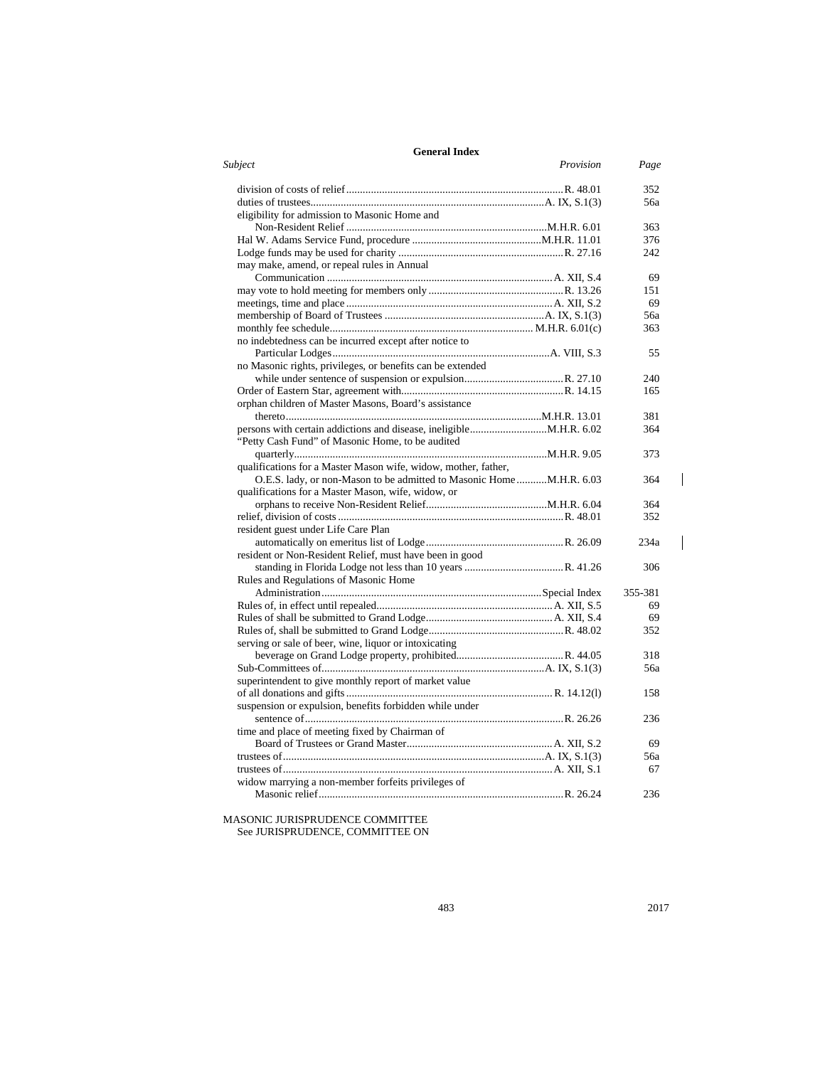| <b>General Index</b>                                                |         |
|---------------------------------------------------------------------|---------|
| Subject<br>Provision                                                | Page    |
|                                                                     | 352     |
|                                                                     | 56a     |
| eligibility for admission to Masonic Home and                       |         |
|                                                                     | 363     |
|                                                                     | 376     |
|                                                                     | 242     |
| may make, amend, or repeal rules in Annual                          |         |
|                                                                     | 69      |
|                                                                     | 151     |
|                                                                     | 69      |
|                                                                     | 56a     |
|                                                                     | 363     |
| no indebtedness can be incurred except after notice to              |         |
|                                                                     | 55      |
| no Masonic rights, privileges, or benefits can be extended          |         |
|                                                                     | 240     |
|                                                                     | 165     |
| orphan children of Master Masons, Board's assistance                |         |
|                                                                     | 381     |
|                                                                     | 364     |
| "Petty Cash Fund" of Masonic Home, to be audited                    |         |
|                                                                     | 373     |
| qualifications for a Master Mason wife, widow, mother, father,      |         |
| O.E.S. lady, or non-Mason to be admitted to Masonic HomeM.H.R. 6.03 | 364     |
| qualifications for a Master Mason, wife, widow, or                  |         |
|                                                                     | 364     |
|                                                                     | 352     |
| resident guest under Life Care Plan                                 |         |
|                                                                     | 234a    |
| resident or Non-Resident Relief, must have been in good             |         |
|                                                                     | 306     |
| Rules and Regulations of Masonic Home                               |         |
|                                                                     | 355-381 |
|                                                                     | 69      |
|                                                                     | 69      |
|                                                                     | 352     |
| serving or sale of beer, wine, liquor or intoxicating               |         |
|                                                                     | 318     |
|                                                                     | 56a     |
| superintendent to give monthly report of market value               |         |
|                                                                     | 158     |
| suspension or expulsion, benefits forbidden while under             |         |
|                                                                     | 236     |
| time and place of meeting fixed by Chairman of                      |         |
|                                                                     |         |
|                                                                     | 69      |
|                                                                     | 56a     |
|                                                                     | 67      |
| widow marrying a non-member forfeits privileges of                  |         |
|                                                                     | 236     |

MASONIC JURISPRUDENCE COMMITTEE See JURISPRUDENCE, COMMITTEE ON  $\overline{\phantom{a}}$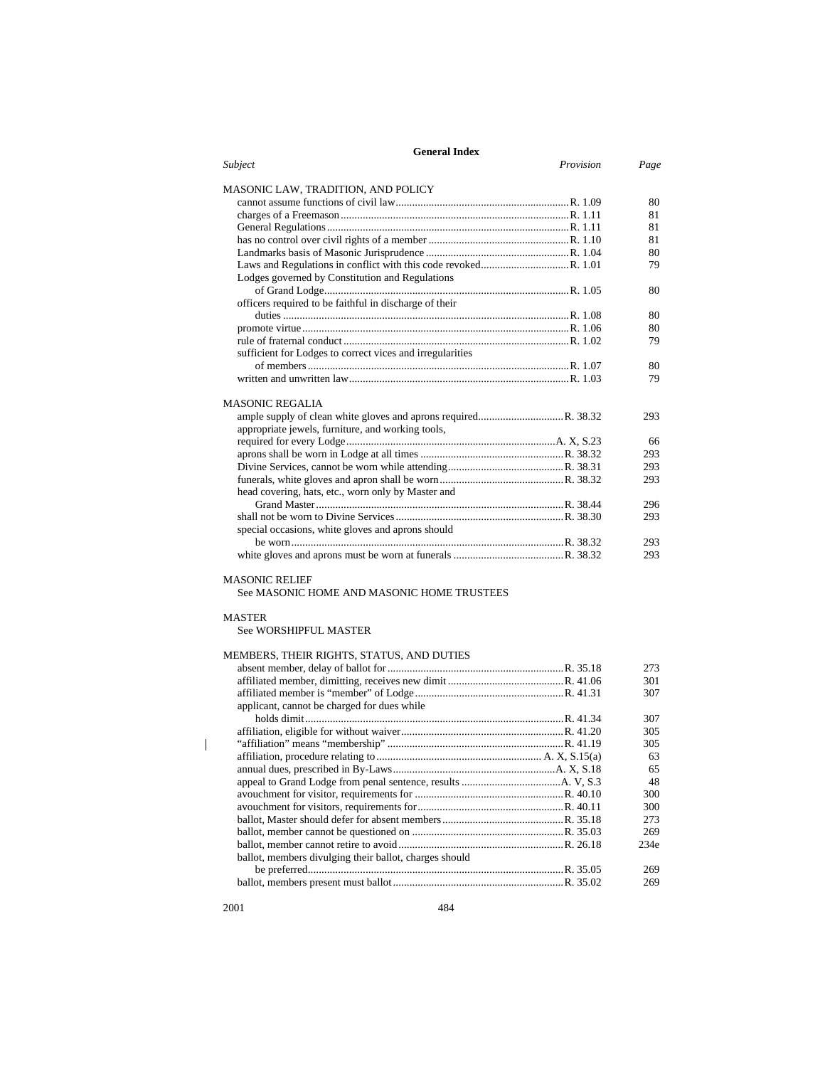| <b>General Index</b>                                      |           |      |
|-----------------------------------------------------------|-----------|------|
| Subject                                                   | Provision | Page |
| MASONIC LAW, TRADITION, AND POLICY                        |           |      |
|                                                           |           | 80   |
|                                                           |           | 81   |
|                                                           |           | 81   |
|                                                           |           | 81   |
|                                                           |           | 80   |
|                                                           |           | 79   |
| Lodges governed by Constitution and Regulations           |           |      |
|                                                           |           | 80   |
| officers required to be faithful in discharge of their    |           |      |
|                                                           |           | 80   |
|                                                           |           | 80   |
|                                                           |           | 79   |
| sufficient for Lodges to correct vices and irregularities |           |      |
|                                                           |           | 80   |
|                                                           |           | 79   |
| <b>MASONIC REGALIA</b>                                    |           |      |
|                                                           |           | 293  |
| appropriate jewels, furniture, and working tools,         |           |      |
|                                                           |           | 66   |
|                                                           |           | 293  |
|                                                           |           | 293  |
|                                                           |           | 293  |
| head covering, hats, etc., worn only by Master and        |           |      |
|                                                           |           | 296  |
|                                                           |           | 293  |
| special occasions, white gloves and aprons should         |           |      |
|                                                           |           | 293  |
|                                                           |           | 293  |
| <b>MASONIC RELIEF</b>                                     |           |      |
| See MASONIC HOME AND MASONIC HOME TRUSTEES                |           |      |
| <b>MASTER</b>                                             |           |      |

See WORSHIPFUL MASTER

# MEMBERS, THEIR RIGHTS, STATUS, AND DUTIES

|                                                        | 273  |
|--------------------------------------------------------|------|
|                                                        | 301  |
|                                                        | 307  |
| applicant, cannot be charged for dues while            |      |
|                                                        | 307  |
|                                                        | 305  |
|                                                        | 305  |
|                                                        | 63   |
|                                                        | 65   |
|                                                        | 48   |
|                                                        | 300  |
|                                                        | 300  |
|                                                        | 273  |
|                                                        | 269  |
|                                                        | 234e |
| ballot, members divulging their ballot, charges should |      |
|                                                        | 269  |
|                                                        | 269  |

2001 484

 $\begin{array}{c} \hline \end{array}$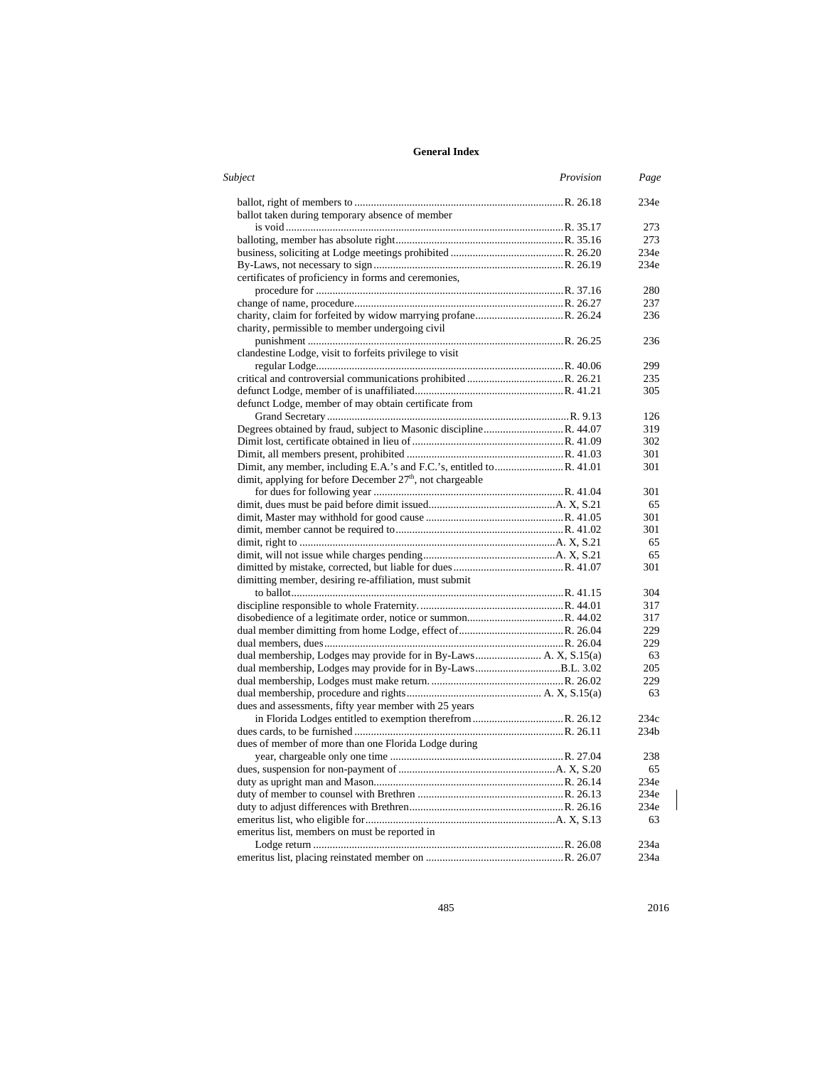| Subject                                                     | Provision | Page |
|-------------------------------------------------------------|-----------|------|
|                                                             |           | 234e |
| ballot taken during temporary absence of member             |           |      |
|                                                             |           | 273  |
|                                                             |           | 273  |
|                                                             |           | 234e |
|                                                             |           | 234e |
| certificates of proficiency in forms and ceremonies,        |           |      |
|                                                             |           | 280  |
|                                                             |           | 237  |
|                                                             |           | 236  |
| charity, permissible to member undergoing civil             |           |      |
|                                                             |           | 236  |
| clandestine Lodge, visit to forfeits privilege to visit     |           |      |
|                                                             |           | 299  |
|                                                             |           | 235  |
|                                                             |           | 305  |
| defunct Lodge, member of may obtain certificate from        |           |      |
|                                                             |           | 126  |
|                                                             |           | 319  |
|                                                             |           | 302  |
|                                                             |           | 301  |
|                                                             |           | 301  |
| dimit, applying for before December 27th, not chargeable    |           |      |
|                                                             |           | 301  |
|                                                             |           | 65   |
|                                                             |           | 301  |
|                                                             |           | 301  |
|                                                             |           | 65   |
|                                                             |           | 65   |
|                                                             |           | 301  |
| dimitting member, desiring re-affiliation, must submit      |           |      |
|                                                             |           | 304  |
|                                                             |           | 317  |
|                                                             |           | 317  |
|                                                             |           | 229  |
|                                                             |           | 229  |
|                                                             |           | 63   |
| dual membership, Lodges may provide for in By-LawsB.L. 3.02 |           | 205  |
|                                                             |           | 229  |
|                                                             |           | 63   |
| dues and assessments, fifty year member with 25 years       |           |      |
|                                                             |           | 234c |
|                                                             |           | 234b |
| dues of member of more than one Florida Lodge during        |           |      |
|                                                             |           | 238  |
|                                                             |           | 65   |
|                                                             |           | 234e |
|                                                             |           | 234e |
|                                                             |           | 234e |
|                                                             |           | 63   |
| emeritus list, members on must be reported in               |           |      |
|                                                             |           | 234a |
|                                                             |           | 234a |
|                                                             |           |      |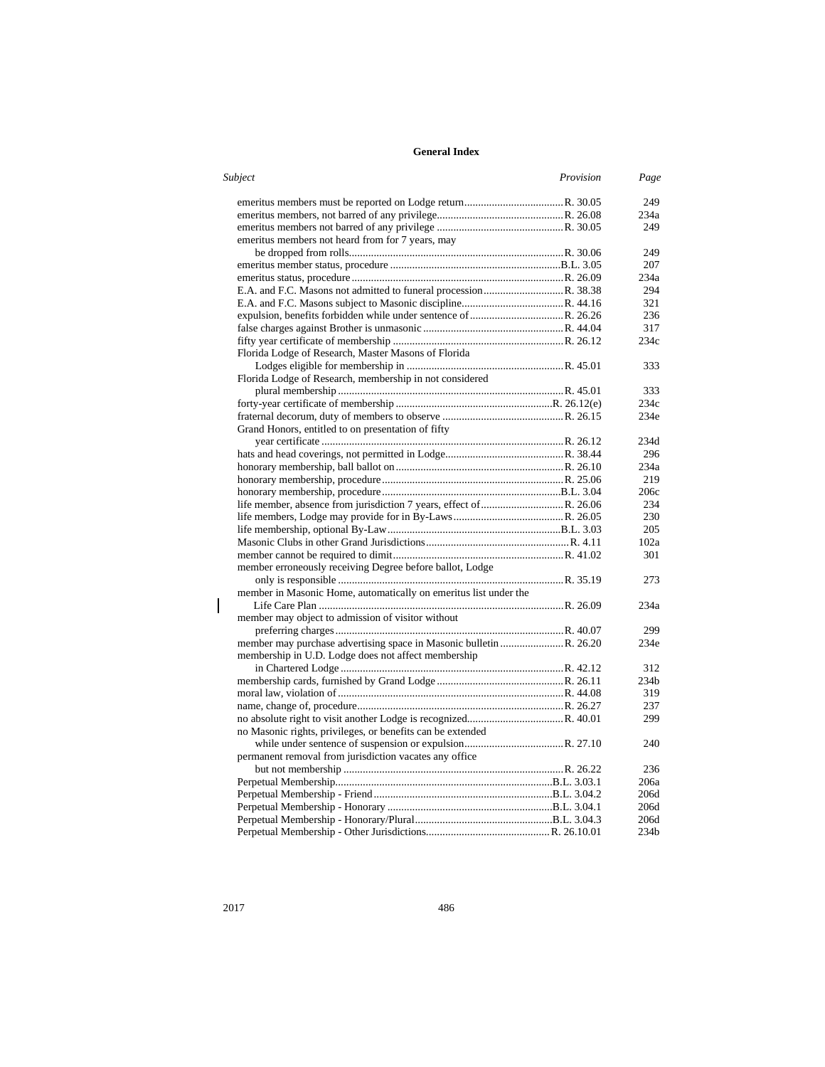| Subject                                                          | Provision | Page             |
|------------------------------------------------------------------|-----------|------------------|
|                                                                  |           | 249              |
|                                                                  |           | 234a             |
|                                                                  |           | 249              |
| emeritus members not heard from for 7 years, may                 |           |                  |
|                                                                  |           | 249              |
|                                                                  |           | 207              |
|                                                                  |           | 234a             |
|                                                                  |           | 294              |
|                                                                  |           | 321              |
|                                                                  |           | 236              |
|                                                                  |           | 317              |
|                                                                  |           | 234c             |
| Florida Lodge of Research, Master Masons of Florida              |           |                  |
|                                                                  |           | 333              |
| Florida Lodge of Research, membership in not considered          |           |                  |
|                                                                  |           | 333              |
|                                                                  |           | 234c             |
|                                                                  |           | 234e             |
| Grand Honors, entitled to on presentation of fifty               |           |                  |
|                                                                  |           | 234d             |
|                                                                  |           | 296              |
|                                                                  |           | 234a             |
|                                                                  |           |                  |
|                                                                  |           | 219              |
|                                                                  |           | 206c             |
|                                                                  |           | 234              |
|                                                                  |           | 230              |
|                                                                  |           | 205              |
|                                                                  |           | 102a             |
|                                                                  |           | 301              |
| member erroneously receiving Degree before ballot, Lodge         |           |                  |
|                                                                  |           | 273              |
| member in Masonic Home, automatically on emeritus list under the |           |                  |
|                                                                  |           | 234a             |
| member may object to admission of visitor without                |           |                  |
|                                                                  |           | 299              |
|                                                                  |           | 234e             |
| membership in U.D. Lodge does not affect membership              |           |                  |
|                                                                  |           | 312              |
|                                                                  |           | 234 <sub>b</sub> |
|                                                                  |           | 319              |
|                                                                  |           | 237              |
|                                                                  |           | 299              |
| no Masonic rights, privileges, or benefits can be extended       |           |                  |
|                                                                  |           | 240              |
| permanent removal from jurisdiction vacates any office           |           |                  |
|                                                                  |           | 236              |
|                                                                  |           | 206a             |
|                                                                  |           | 206d             |
|                                                                  |           | 206d             |
|                                                                  |           | 206d             |
|                                                                  |           | 234b             |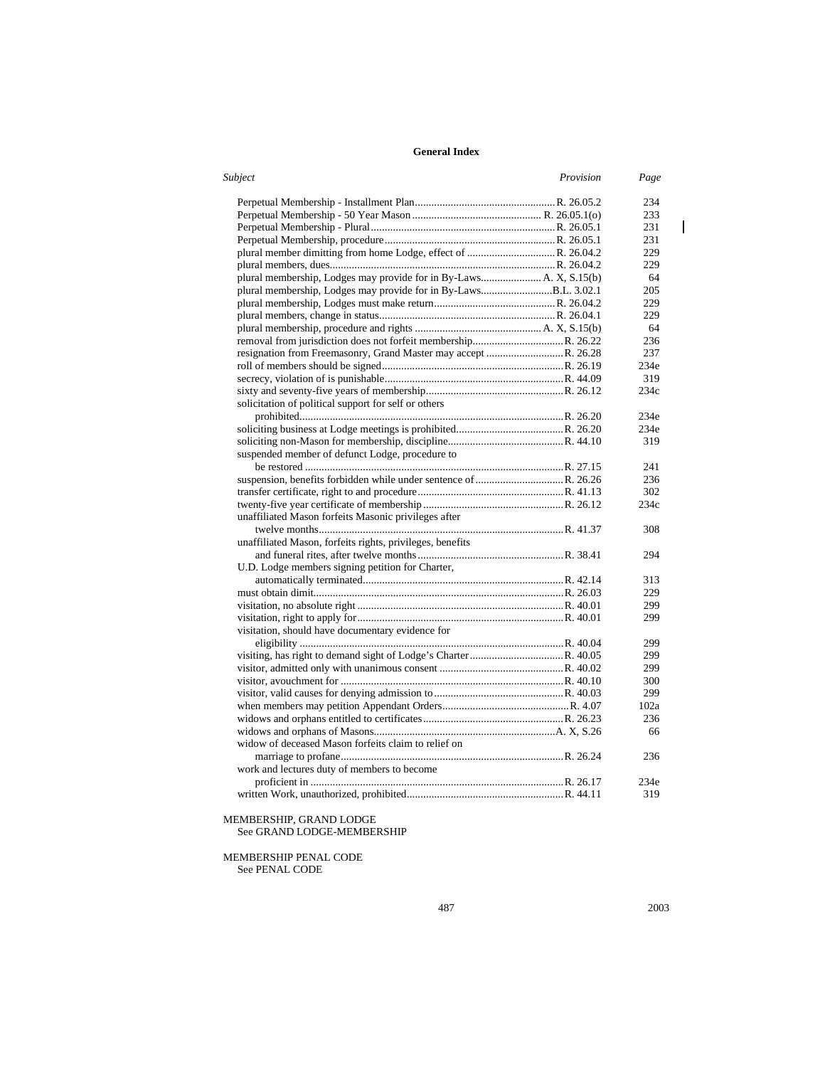| Subject                                                         | Provision | Page |
|-----------------------------------------------------------------|-----------|------|
|                                                                 |           | 234  |
|                                                                 |           | 233  |
|                                                                 |           | 231  |
|                                                                 |           | 231  |
|                                                                 |           | 229  |
|                                                                 |           | 229  |
|                                                                 |           | 64   |
| plural membership, Lodges may provide for in By-LawsB.L. 3.02.1 |           | 205  |
|                                                                 |           | 229  |
|                                                                 |           | 229  |
|                                                                 |           | 64   |
|                                                                 |           | 236  |
|                                                                 |           | 237  |
|                                                                 |           | 234e |
|                                                                 |           | 319  |
|                                                                 |           | 234c |
| solicitation of political support for self or others            |           |      |
|                                                                 |           | 234e |
|                                                                 |           | 234e |
|                                                                 |           | 319  |
| suspended member of defunct Lodge, procedure to                 |           |      |
|                                                                 |           | 241  |
|                                                                 |           | 236  |
|                                                                 |           | 302  |
|                                                                 |           | 234c |
| unaffiliated Mason forfeits Masonic privileges after            |           |      |
|                                                                 |           | 308  |
| unaffiliated Mason, forfeits rights, privileges, benefits       |           |      |
|                                                                 |           | 294  |
| U.D. Lodge members signing petition for Charter,                |           |      |
|                                                                 |           | 313  |
|                                                                 |           | 229  |
|                                                                 |           | 299  |
|                                                                 |           | 299  |
| visitation, should have documentary evidence for                |           |      |
|                                                                 |           | 299  |
|                                                                 |           | 299  |
|                                                                 |           | 299  |
|                                                                 |           | 300  |
|                                                                 |           | 299  |
|                                                                 |           | 102a |
|                                                                 |           |      |
|                                                                 |           | 236  |
|                                                                 |           | 66   |
| widow of deceased Mason forfeits claim to relief on             |           |      |
|                                                                 |           | 236  |
| work and lectures duty of members to become                     |           |      |
|                                                                 |           | 234e |
|                                                                 |           | 319  |

MEMBERSHIP, GRAND LODGE See GRAND LODGE-MEMBERSHIP

MEMBERSHIP PENAL CODE See PENAL CODE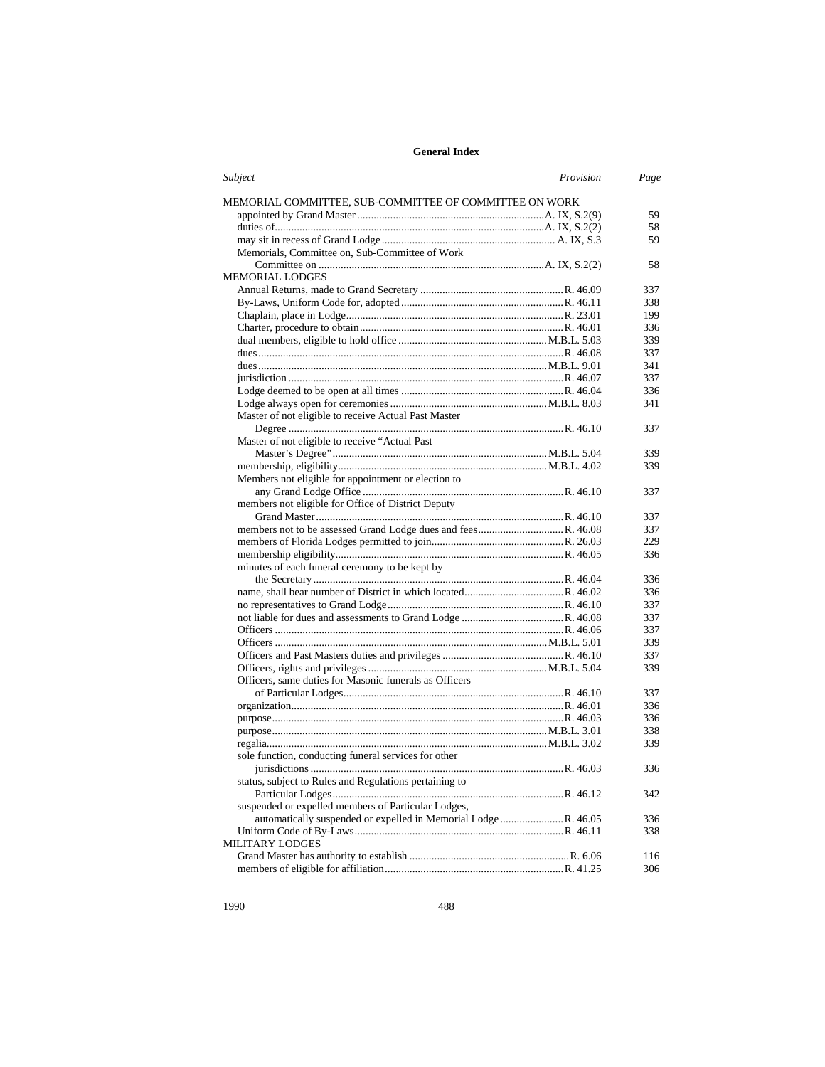| Subject                                                | Provision | Page |
|--------------------------------------------------------|-----------|------|
| MEMORIAL COMMITTEE, SUB-COMMITTEE OF COMMITTEE ON WORK |           |      |
|                                                        |           | 59   |
|                                                        |           | 58   |
|                                                        |           | 59   |
| Memorials, Committee on, Sub-Committee of Work         |           |      |
|                                                        |           | 58   |
| <b>MEMORIAL LODGES</b>                                 |           |      |
|                                                        |           | 337  |
|                                                        |           | 338  |
|                                                        |           | 199  |
|                                                        |           | 336  |
|                                                        |           | 339  |
|                                                        |           | 337  |
|                                                        |           | 341  |
|                                                        |           | 337  |
|                                                        |           | 336  |
|                                                        |           | 341  |
| Master of not eligible to receive Actual Past Master   |           |      |
|                                                        |           | 337  |
| Master of not eligible to receive "Actual Past         |           |      |
|                                                        |           | 339  |
|                                                        |           | 339  |
| Members not eligible for appointment or election to    |           |      |
|                                                        |           | 337  |
| members not eligible for Office of District Deputy     |           |      |
|                                                        |           | 337  |
|                                                        |           | 337  |
|                                                        |           | 229  |
|                                                        |           | 336  |
| minutes of each funeral ceremony to be kept by         |           |      |
|                                                        |           | 336  |
|                                                        |           | 336  |
|                                                        |           | 337  |
|                                                        |           | 337  |
|                                                        |           | 337  |
|                                                        |           | 339  |
|                                                        |           | 337  |
|                                                        |           | 339  |
| Officers, same duties for Masonic funerals as Officers |           |      |
|                                                        |           | 337  |
|                                                        |           | 336  |
|                                                        |           | 336  |
|                                                        |           | 338  |
|                                                        |           | 339  |
| sole function, conducting funeral services for other   |           |      |
|                                                        |           | 336  |
| status, subject to Rules and Regulations pertaining to |           |      |
|                                                        |           | 342  |
| suspended or expelled members of Particular Lodges,    |           |      |
|                                                        |           | 336  |
|                                                        |           | 338  |
| <b>MILITARY LODGES</b>                                 |           |      |
|                                                        |           | 116  |
|                                                        |           | 306  |